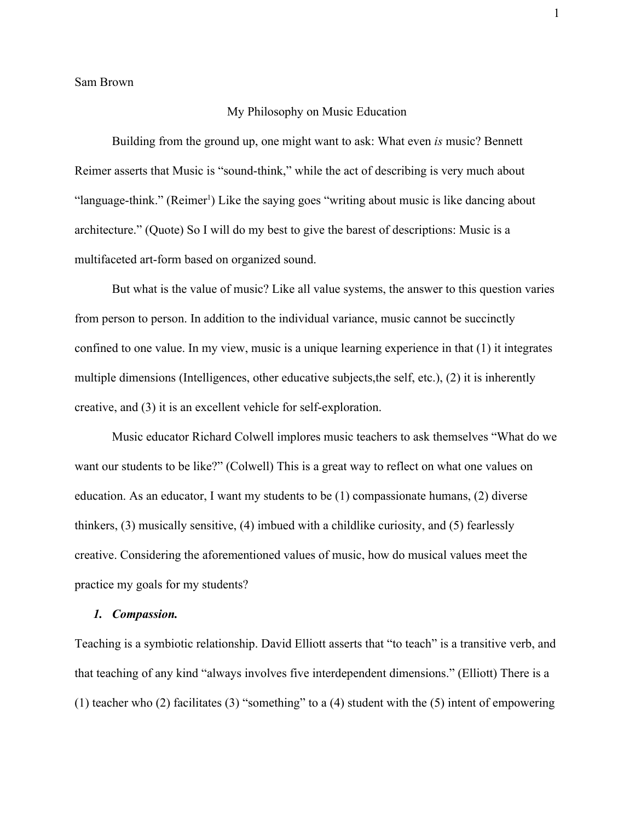Sam Brown

## My Philosophy on Music Education

1

Building from the ground up, one might want to ask: What even *is* music? Bennett Reimer asserts that Music is "sound-think," while the act of describing is very much about "language-think." (Reimer<sup>1</sup>) Like the saying goes "writing about music is like dancing about architecture." (Quote) So I will do my best to give the barest of descriptions: Music is a multifaceted art-form based on organized sound.

But what is the value of music? Like all value systems, the answer to this question varies from person to person. In addition to the individual variance, music cannot be succinctly confined to one value. In my view, music is a unique learning experience in that (1) it integrates multiple dimensions (Intelligences, other educative subjects,the self, etc.), (2) it is inherently creative, and (3) it is an excellent vehicle for self-exploration.

Music educator Richard Colwell implores music teachers to ask themselves "What do we want our students to be like?" (Colwell) This is a great way to reflect on what one values on education. As an educator, I want my students to be (1) compassionate humans, (2) diverse thinkers, (3) musically sensitive, (4) imbued with a childlike curiosity, and (5) fearlessly creative. Considering the aforementioned values of music, how do musical values meet the practice my goals for my students?

# *1. Compassion.*

Teaching is a symbiotic relationship. David Elliott asserts that "to teach" is a transitive verb, and that teaching of any kind "always involves five interdependent dimensions." (Elliott) There is a (1) teacher who (2) facilitates (3) "something" to a (4) student with the (5) intent of empowering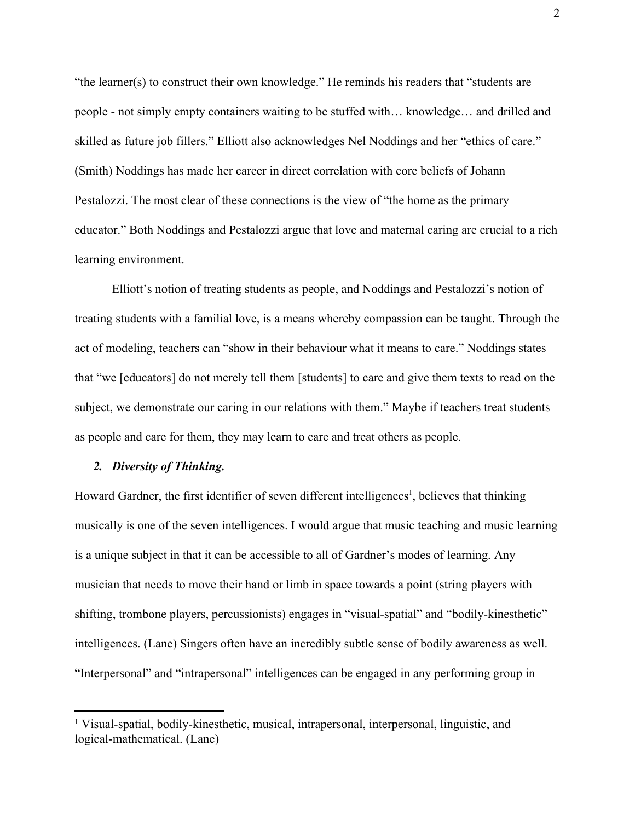"the learner(s) to construct their own knowledge." He reminds his readers that "students are people - not simply empty containers waiting to be stuffed with… knowledge… and drilled and skilled as future job fillers." Elliott also acknowledges Nel Noddings and her "ethics of care." (Smith) Noddings has made her career in direct correlation with core beliefs of Johann Pestalozzi. The most clear of these connections is the view of "the home as the primary educator." Both Noddings and Pestalozzi argue that love and maternal caring are crucial to a rich learning environment.

Elliott's notion of treating students as people, and Noddings and Pestalozzi's notion of treating students with a familial love, is a means whereby compassion can be taught. Through the act of modeling, teachers can "show in their behaviour what it means to care." Noddings states that "we [educators] do not merely tell them [students] to care and give them texts to read on the subject, we demonstrate our caring in our relations with them." Maybe if teachers treat students as people and care for them, they may learn to care and treat others as people.

# *2. Diversity of Thinking.*

Howard Gardner, the first identifier of seven different intelligences<sup>1</sup>, believes that thinking musically is one of the seven intelligences. I would argue that music teaching and music learning is a unique subject in that it can be accessible to all of Gardner's modes of learning. Any musician that needs to move their hand or limb in space towards a point (string players with shifting, trombone players, percussionists) engages in "visual-spatial" and "bodily-kinesthetic" intelligences. (Lane) Singers often have an incredibly subtle sense of bodily awareness as well. "Interpersonal" and "intrapersonal" intelligences can be engaged in any performing group in

<sup>&</sup>lt;sup>1</sup> Visual-spatial, bodily-kinesthetic, musical, intrapersonal, interpersonal, linguistic, and logical-mathematical. (Lane)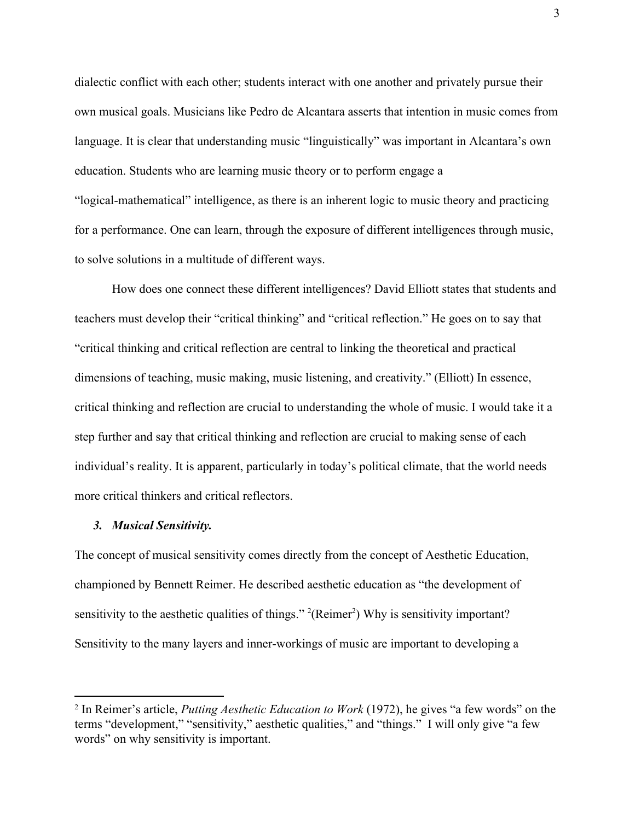dialectic conflict with each other; students interact with one another and privately pursue their own musical goals. Musicians like Pedro de Alcantara asserts that intention in music comes from language. It is clear that understanding music "linguistically" was important in Alcantara's own education. Students who are learning music theory or to perform engage a "logical-mathematical" intelligence, as there is an inherent logic to music theory and practicing for a performance. One can learn, through the exposure of different intelligences through music, to solve solutions in a multitude of different ways.

How does one connect these different intelligences? David Elliott states that students and teachers must develop their "critical thinking" and "critical reflection." He goes on to say that "critical thinking and critical reflection are central to linking the theoretical and practical dimensions of teaching, music making, music listening, and creativity." (Elliott) In essence, critical thinking and reflection are crucial to understanding the whole of music. I would take it a step further and say that critical thinking and reflection are crucial to making sense of each individual's reality. It is apparent, particularly in today's political climate, that the world needs more critical thinkers and critical reflectors.

## *3. Musical Sensitivity.*

The concept of musical sensitivity comes directly from the concept of Aesthetic Education, championed by Bennett Reimer. He described aesthetic education as "the development of sensitivity to the aesthetic qualities of things."  $^{2}$ (Reimer<sup>2</sup>) Why is sensitivity important? Sensitivity to the many layers and inner-workings of music are important to developing a

<sup>2</sup> In Reimer's article, *Putting Aesthetic Education to Work* (1972), he gives "a few words" on the terms "development," "sensitivity," aesthetic qualities," and "things." I will only give "a few words" on why sensitivity is important.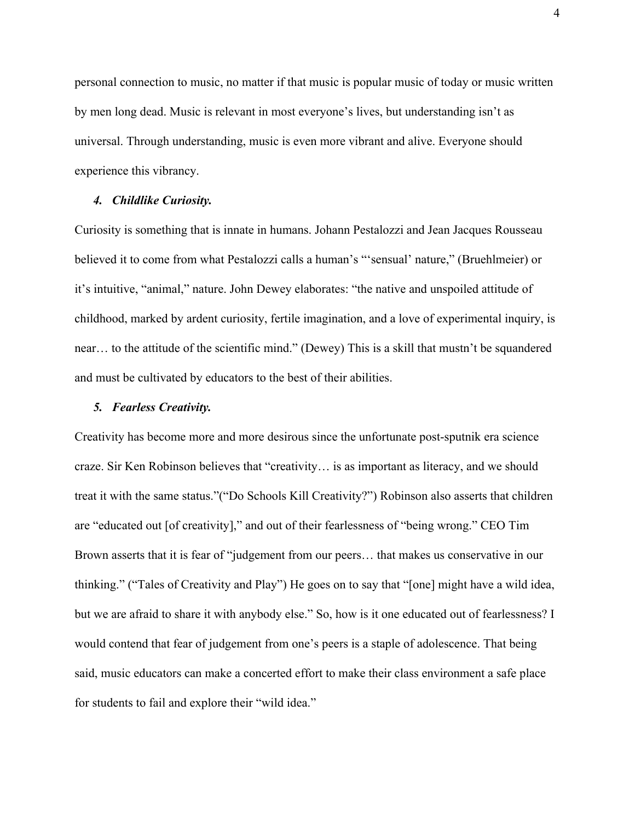personal connection to music, no matter if that music is popular music of today or music written by men long dead. Music is relevant in most everyone's lives, but understanding isn't as universal. Through understanding, music is even more vibrant and alive. Everyone should experience this vibrancy.

#### *4. Childlike Curiosity.*

Curiosity is something that is innate in humans. Johann Pestalozzi and Jean Jacques Rousseau believed it to come from what Pestalozzi calls a human's "'sensual' nature," (Bruehlmeier) or it's intuitive, "animal," nature. John Dewey elaborates: "the native and unspoiled attitude of childhood, marked by ardent curiosity, fertile imagination, and a love of experimental inquiry, is near… to the attitude of the scientific mind." (Dewey) This is a skill that mustn't be squandered and must be cultivated by educators to the best of their abilities.

## *5. Fearless Creativity.*

Creativity has become more and more desirous since the unfortunate post-sputnik era science craze. Sir Ken Robinson believes that "creativity… is as important as literacy, and we should treat it with the same status."("Do Schools Kill Creativity?") Robinson also asserts that children are "educated out [of creativity]," and out of their fearlessness of "being wrong." CEO Tim Brown asserts that it is fear of "judgement from our peers... that makes us conservative in our thinking." ("Tales of Creativity and Play") He goes on to say that "[one] might have a wild idea, but we are afraid to share it with anybody else." So, how is it one educated out of fearlessness? I would contend that fear of judgement from one's peers is a staple of adolescence. That being said, music educators can make a concerted effort to make their class environment a safe place for students to fail and explore their "wild idea."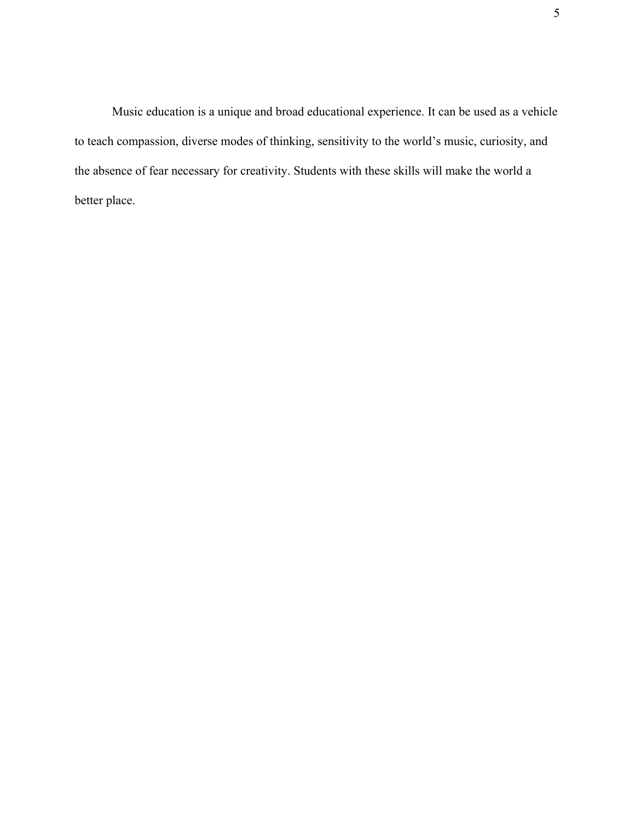Music education is a unique and broad educational experience. It can be used as a vehicle to teach compassion, diverse modes of thinking, sensitivity to the world's music, curiosity, and the absence of fear necessary for creativity. Students with these skills will make the world a better place.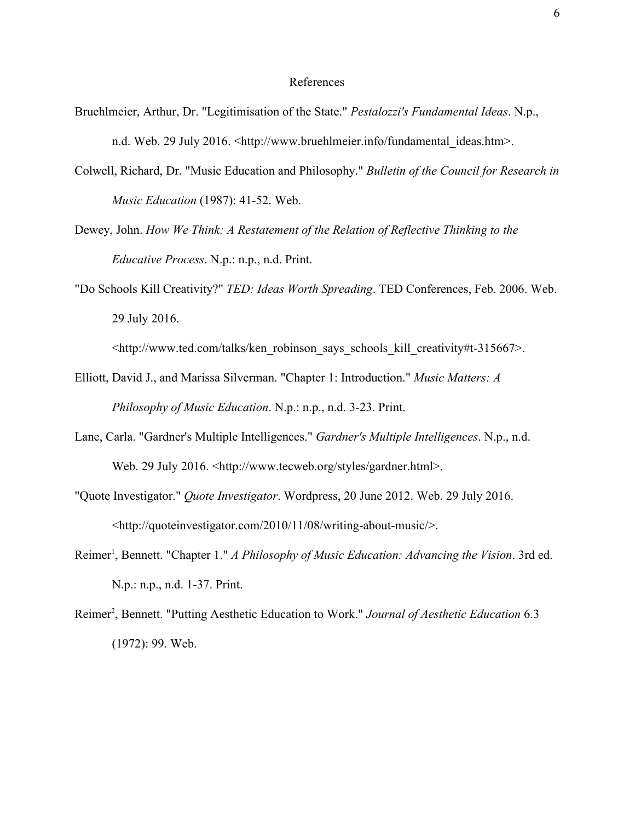# References

- Bruehlmeier, Arthur, Dr. "Legitimisation of the State." *Pestalozzi's Fundamental Ideas*. N.p., n.d. Web. 29 July 2016. <http://www.bruehlmeier.info/fundamental\_ideas.htm>.
- Colwell, Richard, Dr. "Music Education and Philosophy." *Bulletin of the Council for Research in Music Education* (1987): 41-52. Web.
- Dewey, John. *How We Think: A Restatement of the Relation of Reflective Thinking to the Educative Process*. N.p.: n.p., n.d. Print.
- "Do Schools Kill Creativity?" *TED: Ideas Worth Spreading*. TED Conferences, Feb. 2006. Web. 29 July 2016.
	- <http://www.ted.com/talks/ken\_robinson\_says\_schools\_kill\_creativity#t-315667>.
- Elliott, David J., and Marissa Silverman. "Chapter 1: Introduction." *Music Matters: A Philosophy of Music Education*. N.p.: n.p., n.d. 3-23. Print.
- Lane, Carla. "Gardner's Multiple Intelligences." *Gardner's Multiple Intelligences*. N.p., n.d. Web. 29 July 2016. <http://www.tecweb.org/styles/gardner.html>.
- "Quote Investigator." *Quote Investigator*. Wordpress, 20 June 2012. Web. 29 July 2016. <http://quoteinvestigator.com/2010/11/08/writing-about-music/>.
- Reimer<sup>1</sup>, Bennett. "Chapter 1." *A Philosophy of Music Education: Advancing the Vision*. 3rd ed. N.p.: n.p., n.d. 1-37. Print.
- Reimer<sup>2</sup>, Bennett. "Putting Aesthetic Education to Work." Journal of Aesthetic Education 6.3 (1972): 99. Web.